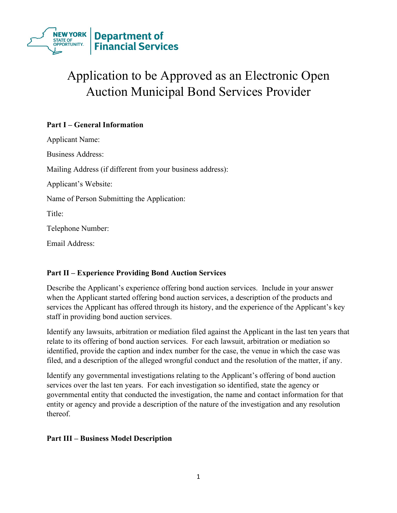

# Application to be Approved as an Electronic Open Auction Municipal Bond Services Provider

# **Part I – General Information**

Applicant Name: Business Address: Mailing Address (if different from your business address): Applicant's Website: Name of Person Submitting the Application: Title: Telephone Number: Email Address:

## **Part II – Experience Providing Bond Auction Services**

Describe the Applicant's experience offering bond auction services. Include in your answer when the Applicant started offering bond auction services, a description of the products and services the Applicant has offered through its history, and the experience of the Applicant's key staff in providing bond auction services.

Identify any lawsuits, arbitration or mediation filed against the Applicant in the last ten years that relate to its offering of bond auction services. For each lawsuit, arbitration or mediation so identified, provide the caption and index number for the case, the venue in which the case was filed, and a description of the alleged wrongful conduct and the resolution of the matter, if any.

Identify any governmental investigations relating to the Applicant's offering of bond auction services over the last ten years. For each investigation so identified, state the agency or governmental entity that conducted the investigation, the name and contact information for that entity or agency and provide a description of the nature of the investigation and any resolution thereof.

### **Part III – Business Model Description**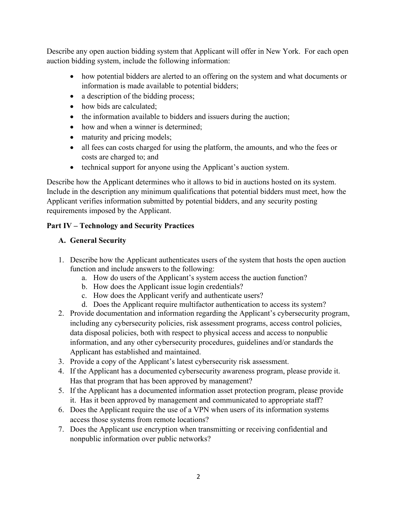Describe any open auction bidding system that Applicant will offer in New York. For each open auction bidding system, include the following information:

- how potential bidders are alerted to an offering on the system and what documents or information is made available to potential bidders;
- a description of the bidding process;
- how bids are calculated;
- the information available to bidders and issuers during the auction;
- how and when a winner is determined:
- maturity and pricing models;
- all fees can costs charged for using the platform, the amounts, and who the fees or costs are charged to; and
- technical support for anyone using the Applicant's auction system.

Describe how the Applicant determines who it allows to bid in auctions hosted on its system. Include in the description any minimum qualifications that potential bidders must meet, how the Applicant verifies information submitted by potential bidders, and any security posting requirements imposed by the Applicant.

# **Part IV – Technology and Security Practices**

# **A. General Security**

- 1. Describe how the Applicant authenticates users of the system that hosts the open auction function and include answers to the following:
	- a. How do users of the Applicant's system access the auction function?
	- b. How does the Applicant issue login credentials?
	- c. How does the Applicant verify and authenticate users?
	- d. Does the Applicant require multifactor authentication to access its system?
- 2. Provide documentation and information regarding the Applicant's cybersecurity program, including any cybersecurity policies, risk assessment programs, access control policies, data disposal policies, both with respect to physical access and access to nonpublic information, and any other cybersecurity procedures, guidelines and/or standards the Applicant has established and maintained.
- 3. Provide a copy of the Applicant's latest cybersecurity risk assessment.
- 4. If the Applicant has a documented cybersecurity awareness program, please provide it. Has that program that has been approved by management?
- 5. If the Applicant has a documented information asset protection program, please provide it. Has it been approved by management and communicated to appropriate staff?
- 6. Does the Applicant require the use of a VPN when users of its information systems access those systems from remote locations?
- 7. Does the Applicant use encryption when transmitting or receiving confidential and nonpublic information over public networks?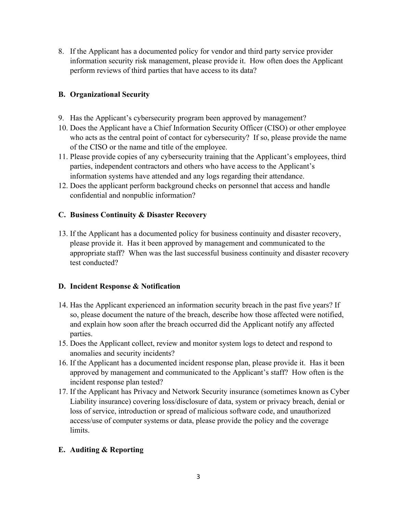8. If the Applicant has a documented policy for vendor and third party service provider information security risk management, please provide it. How often does the Applicant perform reviews of third parties that have access to its data?

## **B. Organizational Security**

- 9. Has the Applicant's cybersecurity program been approved by management?
- 10. Does the Applicant have a Chief Information Security Officer (CISO) or other employee who acts as the central point of contact for cybersecurity? If so, please provide the name of the CISO or the name and title of the employee.
- 11. Please provide copies of any cybersecurity training that the Applicant's employees, third parties, independent contractors and others who have access to the Applicant's information systems have attended and any logs regarding their attendance.
- 12. Does the applicant perform background checks on personnel that access and handle confidential and nonpublic information?

#### **C. Business Continuity & Disaster Recovery**

13. If the Applicant has a documented policy for business continuity and disaster recovery, please provide it. Has it been approved by management and communicated to the appropriate staff? When was the last successful business continuity and disaster recovery test conducted?

### **D. Incident Response & Notification**

- 14. Has the Applicant experienced an information security breach in the past five years? If so, please document the nature of the breach, describe how those affected were notified, and explain how soon after the breach occurred did the Applicant notify any affected parties.
- 15. Does the Applicant collect, review and monitor system logs to detect and respond to anomalies and security incidents?
- 16. If the Applicant has a documented incident response plan, please provide it. Has it been approved by management and communicated to the Applicant's staff? How often is the incident response plan tested?
- 17. If the Applicant has Privacy and Network Security insurance (sometimes known as Cyber Liability insurance) covering loss/disclosure of data, system or privacy breach, denial or loss of service, introduction or spread of malicious software code, and unauthorized access/use of computer systems or data, please provide the policy and the coverage limits.

### **E. Auditing & Reporting**